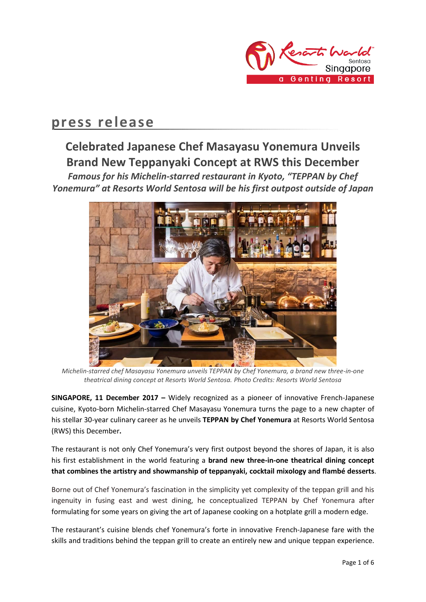

## **press release**

# **Celebrated Japanese Chef Masayasu Yonemura Unveils Brand New Teppanyaki Concept at RWS this December**

*Famous for his Michelin-starred restaurant in Kyoto, "TEPPAN by Chef Yonemura" at Resorts World Sentosa will be his first outpost outside of Japan*



*Michelin-starred chef Masayasu Yonemura unveils TEPPAN by Chef Yonemura, a brand new three-in-one theatrical dining concept at Resorts World Sentosa. Photo Credits: Resorts World Sentosa*

**SINGAPORE, 11 December 2017 –** Widely recognized as a pioneer of innovative French-Japanese cuisine, Kyoto-born Michelin-starred Chef Masayasu Yonemura turns the page to a new chapter of his stellar 30-year culinary career as he unveils **TEPPAN by Chef Yonemura** at Resorts World Sentosa (RWS) this December**.**

The restaurant is not only Chef Yonemura's very first outpost beyond the shores of Japan, it is also his first establishment in the world featuring a **brand new three-in-one theatrical dining concept that combines the artistry and showmanship of teppanyaki, cocktail mixology and flambé desserts**.

Borne out of Chef Yonemura's fascination in the simplicity yet complexity of the teppan grill and his ingenuity in fusing east and west dining, he conceptualized TEPPAN by Chef Yonemura after formulating for some years on giving the art of Japanese cooking on a hotplate grill a modern edge.

The restaurant's cuisine blends chef Yonemura's forte in innovative French-Japanese fare with the skills and traditions behind the teppan grill to create an entirely new and unique teppan experience.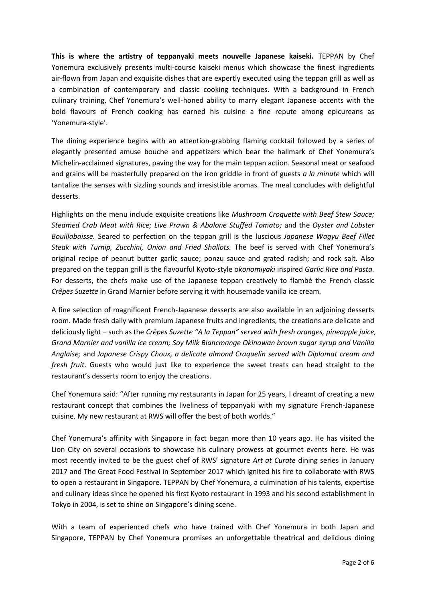**This is where the artistry of teppanyaki meets nouvelle Japanese kaiseki.** TEPPAN by Chef Yonemura exclusively presents multi-course kaiseki menus which showcase the finest ingredients air-flown from Japan and exquisite dishes that are expertly executed using the teppan grill as well as a combination of contemporary and classic cooking techniques. With a background in French culinary training, Chef Yonemura's well-honed ability to marry elegant Japanese accents with the bold flavours of French cooking has earned his cuisine a fine repute among epicureans as 'Yonemura-style'.

The dining experience begins with an attention-grabbing flaming cocktail followed by a series of elegantly presented amuse bouche and appetizers which bear the hallmark of Chef Yonemura's Michelin-acclaimed signatures, paving the way for the main teppan action. Seasonal meat or seafood and grains will be masterfully prepared on the iron griddle in front of guests *a la minute* which will tantalize the senses with sizzling sounds and irresistible aromas. The meal concludes with delightful desserts.

Highlights on the menu include exquisite creations like *Mushroom Croquette with Beef Stew Sauce; Steamed Crab Meat with Rice; Live Prawn & Abalone Stuffed Tomato;* and the *Oyster and Lobster Bouillabaisse.* Seared to perfection on the teppan grill is the luscious *Japanese Wagyu Beef Fillet Steak with Turnip, Zucchini, Onion and Fried Shallots.* The beef is served with Chef Yonemura's original recipe of peanut butter garlic sauce; ponzu sauce and grated radish; and rock salt. Also prepared on the teppan grill is the flavourful Kyoto-style o*konomiyaki* inspired *Garlic Rice and Pasta.* For desserts, the chefs make use of the Japanese teppan creatively to flambé the French classic *Crêpes Suzette* in Grand Marnier before serving it with housemade vanilla ice cream*.*

A fine selection of magnificent French-Japanese desserts are also available in an adjoining desserts room. Made fresh daily with premium Japanese fruits and ingredients, the creations are delicate and deliciously light – such as the *Crêpes Suzette "A la Teppan" served with fresh oranges, pineapple juice, Grand Marnier and vanilla ice cream; Soy Milk Blancmange Okinawan brown sugar syrup and Vanilla Anglaise;* and *Japanese Crispy Choux, a delicate almond Craquelin served with Diplomat cream and fresh fruit*. Guests who would just like to experience the sweet treats can head straight to the restaurant's desserts room to enjoy the creations.

Chef Yonemura said: "After running my restaurants in Japan for 25 years, I dreamt of creating a new restaurant concept that combines the liveliness of teppanyaki with my signature French-Japanese cuisine. My new restaurant at RWS will offer the best of both worlds."

Chef Yonemura's affinity with Singapore in fact began more than 10 years ago. He has visited the Lion City on several occasions to showcase his culinary prowess at gourmet events here. He was most recently invited to be the guest chef of RWS' signature *Art at Curate* dining series in January 2017 and The Great Food Festival in September 2017 which ignited his fire to collaborate with RWS to open a restaurant in Singapore. TEPPAN by Chef Yonemura, a culmination of his talents, expertise and culinary ideas since he opened his first Kyoto restaurant in 1993 and his second establishment in Tokyo in 2004, is set to shine on Singapore's dining scene.

With a team of experienced chefs who have trained with Chef Yonemura in both Japan and Singapore, TEPPAN by Chef Yonemura promises an unforgettable theatrical and delicious dining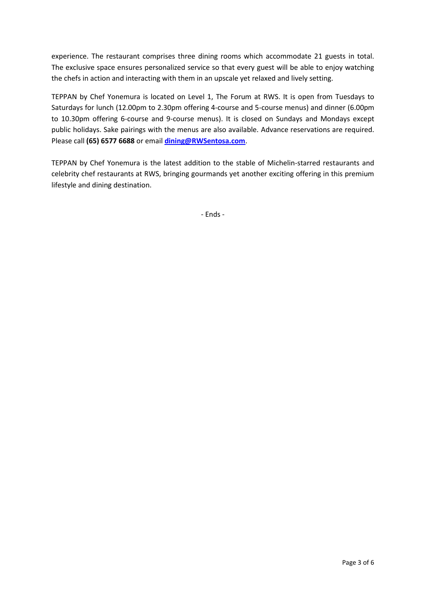experience. The restaurant comprises three dining rooms which accommodate 21 guests in total. The exclusive space ensures personalized service so that every guest will be able to enjoy watching the chefs in action and interacting with them in an upscale yet relaxed and lively setting.

TEPPAN by Chef Yonemura is located on Level 1, The Forum at RWS. It is open from Tuesdays to Saturdays for lunch (12.00pm to 2.30pm offering 4-course and 5-course menus) and dinner (6.00pm to 10.30pm offering 6-course and 9-course menus). It is closed on Sundays and Mondays except public holidays. Sake pairings with the menus are also available. Advance reservations are required. Please call **(65) 6577 6688** or email **[dining@RWSentosa.com](mailto:dining@RWSentosa.com)**.

TEPPAN by Chef Yonemura is the latest addition to the stable of Michelin-starred restaurants and celebrity chef restaurants at RWS, bringing gourmands yet another exciting offering in this premium lifestyle and dining destination.

- Ends -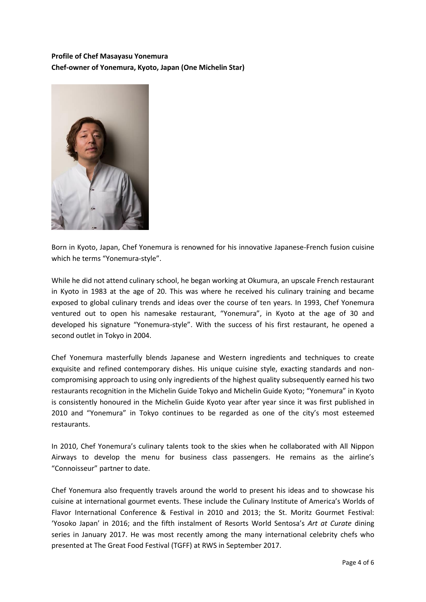### **Profile of Chef Masayasu Yonemura Chef-owner of Yonemura, Kyoto, Japan (One Michelin Star)**



Born in Kyoto, Japan, Chef Yonemura is renowned for his innovative Japanese-French fusion cuisine which he terms "Yonemura-style".

While he did not attend culinary school, he began working at Okumura, an upscale French restaurant in Kyoto in 1983 at the age of 20. This was where he received his culinary training and became exposed to global culinary trends and ideas over the course of ten years. In 1993, Chef Yonemura ventured out to open his namesake restaurant, "Yonemura", in Kyoto at the age of 30 and developed his signature "Yonemura-style". With the success of his first restaurant, he opened a second outlet in Tokyo in 2004.

Chef Yonemura masterfully blends Japanese and Western ingredients and techniques to create exquisite and refined contemporary dishes. His unique cuisine style, exacting standards and noncompromising approach to using only ingredients of the highest quality subsequently earned his two restaurants recognition in the Michelin Guide Tokyo and Michelin Guide Kyoto; "Yonemura" in Kyoto is consistently honoured in the Michelin Guide Kyoto year after year since it was first published in 2010 and "Yonemura" in Tokyo continues to be regarded as one of the city's most esteemed restaurants.

In 2010, Chef Yonemura's culinary talents took to the skies when he collaborated with All Nippon Airways to develop the menu for business class passengers. He remains as the airline's "Connoisseur" partner to date.

Chef Yonemura also frequently travels around the world to present his ideas and to showcase his cuisine at international gourmet events. These include the Culinary Institute of America's Worlds of Flavor International Conference & Festival in 2010 and 2013; the St. Moritz Gourmet Festival: 'Yosoko Japan' in 2016; and the fifth instalment of Resorts World Sentosa's *Art at Curate* dining series in January 2017. He was most recently among the many international celebrity chefs who presented at The Great Food Festival (TGFF) at RWS in September 2017.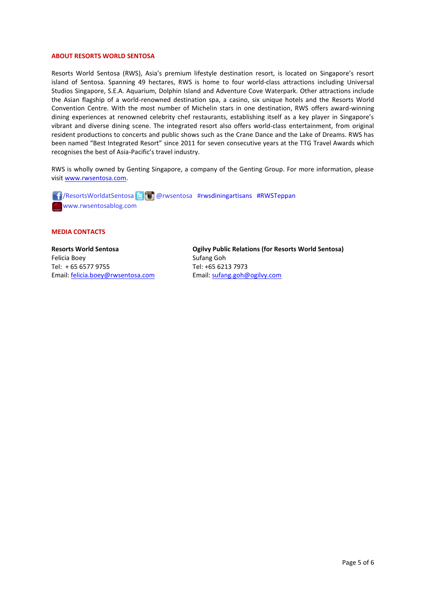#### **ABOUT RESORTS WORLD SENTOSA**

Resorts World Sentosa (RWS), Asia's premium lifestyle destination resort, is located on Singapore's resort island of Sentosa. Spanning 49 hectares, RWS is home to four world-class attractions including Universal Studios Singapore, S.E.A. Aquarium, Dolphin Island and Adventure Cove Waterpark. Other attractions include the Asian flagship of a world-renowned destination spa, a casino, six unique hotels and the Resorts World Convention Centre. With the most number of Michelin stars in one destination, RWS offers award-winning dining experiences at renowned celebrity chef restaurants, establishing itself as a key player in Singapore's vibrant and diverse dining scene. The integrated resort also offers world-class entertainment, from original resident productions to concerts and public shows such as the Crane Dance and the Lake of Dreams. RWS has been named "Best Integrated Resort" since 2011 for seven consecutive years at the TTG Travel Awards which recognises the best of Asia-Pacific's travel industry.

RWS is wholly owned by Genting Singapore, a company of the Genting Group. For more information, please visi[t www.rwsentosa.com.](http://www.rwsentosa.com/)

 /ResortsWorldatSentosa @rwsentosa #rwsdiningartisans #RWSTeppan www.rwsentosablog.com

#### **MEDIA CONTACTS**

**Resorts World Sentosa** Felicia Boey Tel: + 65 6577 9755 Email: [felicia.boey@rwsentosa.com](mailto:felicia.boey@rwsentosa.com) **Ogilvy Public Relations (for Resorts World Sentosa)** Sufang Goh Tel: +65 6213 7973 Email[: sufang.goh@ogilvy.com](mailto:sufang.goh@ogilvy.com)